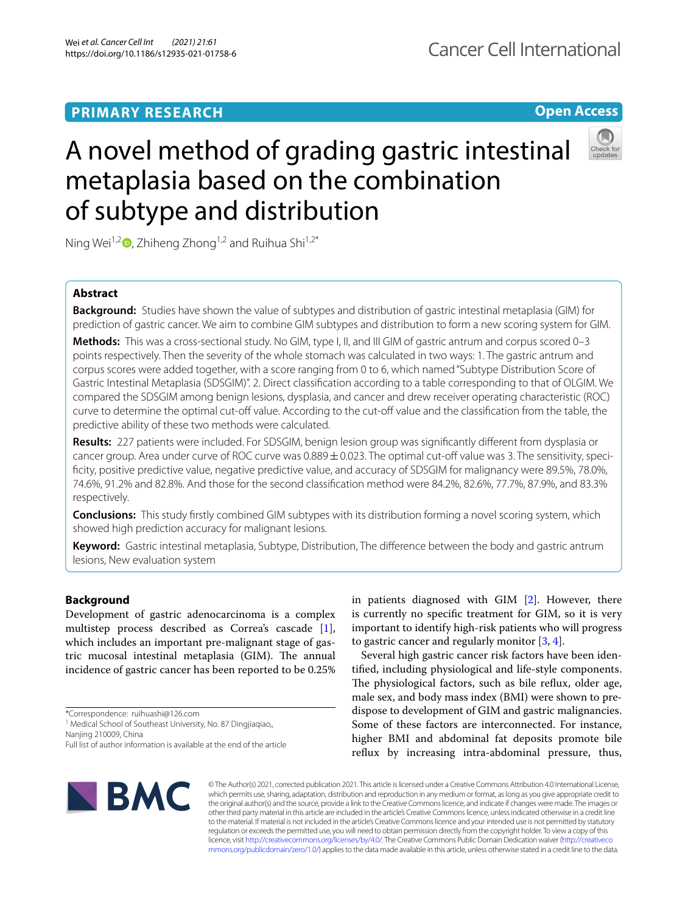## **PRIMARY RESEARCH**

## **Open Access**



# A novel method of grading gastric intestinal metaplasia based on the combination of subtype and distribution

Ning Wei<sup>1,2</sup>  $\bullet$ [,](http://orcid.org/0000-0001-8931-8995) Zhiheng Zhong<sup>1,2</sup> and Ruihua Shi<sup>1,2\*</sup>

## **Abstract**

**Background:** Studies have shown the value of subtypes and distribution of gastric intestinal metaplasia (GIM) for prediction of gastric cancer. We aim to combine GIM subtypes and distribution to form a new scoring system for GIM.

**Methods:** This was a cross-sectional study. No GIM, type I, II, and III GIM of gastric antrum and corpus scored 0–3 points respectively. Then the severity of the whole stomach was calculated in two ways: 1. The gastric antrum and corpus scores were added together, with a score ranging from 0 to 6, which named "Subtype Distribution Score of Gastric Intestinal Metaplasia (SDSGIM)". 2. Direct classifcation according to a table corresponding to that of OLGIM. We compared the SDSGIM among benign lesions, dysplasia, and cancer and drew receiver operating characteristic (ROC) curve to determine the optimal cut-off value. According to the cut-off value and the classification from the table, the predictive ability of these two methods were calculated.

**Results:** 227 patients were included. For SDSGIM, benign lesion group was signifcantly diferent from dysplasia or cancer group. Area under curve of ROC curve was  $0.889 \pm 0.023$ . The optimal cut-off value was 3. The sensitivity, specificity, positive predictive value, negative predictive value, and accuracy of SDSGIM for malignancy were 89.5%, 78.0%, 74.6%, 91.2% and 82.8%. And those for the second classifcation method were 84.2%, 82.6%, 77.7%, 87.9%, and 83.3% respectively.

**Conclusions:** This study frstly combined GIM subtypes with its distribution forming a novel scoring system, which showed high prediction accuracy for malignant lesions.

**Keyword:** Gastric intestinal metaplasia, Subtype, Distribution, The diference between the body and gastric antrum lesions, New evaluation system

## **Background**

Development of gastric adenocarcinoma is a complex multistep process described as Correa's cascade [\[1](#page-6-0)], which includes an important pre-malignant stage of gastric mucosal intestinal metaplasia (GIM). The annual incidence of gastric cancer has been reported to be 0.25%

\*Correspondence: ruihuashi@126.com

<sup>1</sup> Medical School of Southeast University, No. 87 Dingjiaqiao,,

Nanjing 210009, China

in patients diagnosed with GIM [\[2\]](#page-6-1). However, there is currently no specifc treatment for GIM, so it is very important to identify high-risk patients who will progress to gastric cancer and regularly monitor [\[3](#page-6-2), [4\]](#page-6-3).

Several high gastric cancer risk factors have been identifed, including physiological and life-style components. The physiological factors, such as bile reflux, older age, male sex, and body mass index (BMI) were shown to predispose to development of GIM and gastric malignancies. Some of these factors are interconnected. For instance, higher BMI and abdominal fat deposits promote bile refux by increasing intra-abdominal pressure, thus,



© The Author(s) 2021, corrected publication 2021. This article is licensed under a Creative Commons Attribution 4.0 International License, which permits use, sharing, adaptation, distribution and reproduction in any medium or format, as long as you give appropriate credit to the original author(s) and the source, provide a link to the Creative Commons licence, and indicate if changes were made. The images or other third party material in this article are included in the article's Creative Commons licence, unless indicated otherwise in a credit line to the material. If material is not included in the article's Creative Commons licence and your intended use is not permitted by statutory regulation or exceeds the permitted use, you will need to obtain permission directly from the copyright holder. To view a copy of this licence, visit [http://creativecommons.org/licenses/by/4.0/.](http://creativecommons.org/licenses/by/4.0/) The Creative Commons Public Domain Dedication waiver ([http://creativeco](http://creativecommons.org/publicdomain/zero/1.0/) [mmons.org/publicdomain/zero/1.0/](http://creativecommons.org/publicdomain/zero/1.0/)) applies to the data made available in this article, unless otherwise stated in a credit line to the data.

Full list of author information is available at the end of the article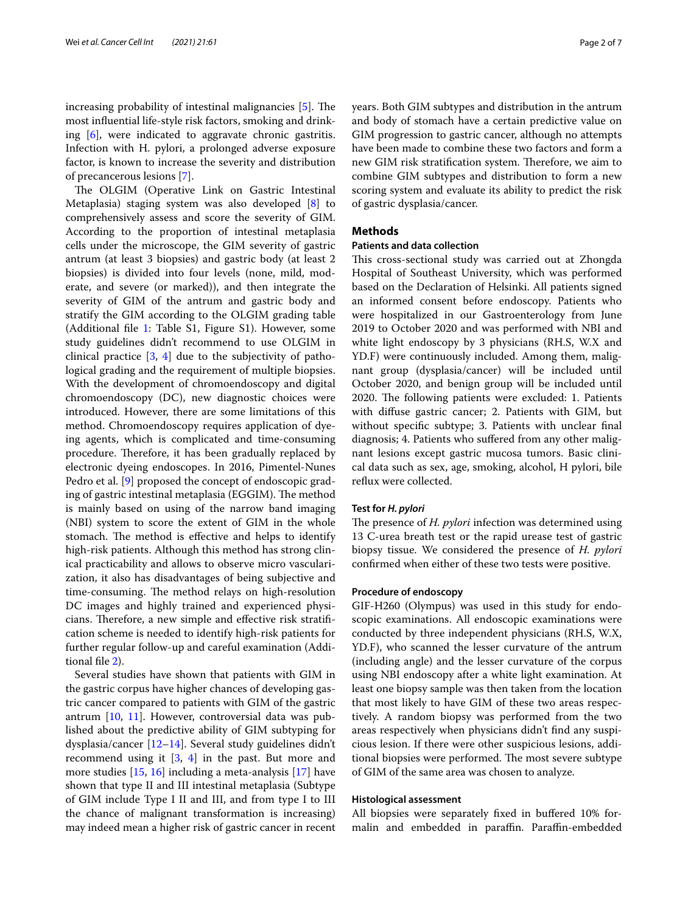increasing probability of intestinal malignancies  $[5]$  $[5]$ . The most infuential life-style risk factors, smoking and drinking [[6\]](#page-6-5), were indicated to aggravate chronic gastritis. Infection with H. pylori, a prolonged adverse exposure factor, is known to increase the severity and distribution of precancerous lesions [[7\]](#page-6-6).

The OLGIM (Operative Link on Gastric Intestinal Metaplasia) staging system was also developed [[8\]](#page-6-7) to comprehensively assess and score the severity of GIM. According to the proportion of intestinal metaplasia cells under the microscope, the GIM severity of gastric antrum (at least 3 biopsies) and gastric body (at least 2 biopsies) is divided into four levels (none, mild, moderate, and severe (or marked)), and then integrate the severity of GIM of the antrum and gastric body and stratify the GIM according to the OLGIM grading table (Additional fle [1:](#page-6-8) Table S1, Figure S1). However, some study guidelines didn't recommend to use OLGIM in clinical practice [[3](#page-6-2), [4\]](#page-6-3) due to the subjectivity of pathological grading and the requirement of multiple biopsies. With the development of chromoendoscopy and digital chromoendoscopy (DC), new diagnostic choices were introduced. However, there are some limitations of this method. Chromoendoscopy requires application of dyeing agents, which is complicated and time-consuming procedure. Therefore, it has been gradually replaced by electronic dyeing endoscopes. In 2016, Pimentel-Nunes Pedro et al. [\[9](#page-6-9)] proposed the concept of endoscopic grading of gastric intestinal metaplasia (EGGIM). The method is mainly based on using of the narrow band imaging (NBI) system to score the extent of GIM in the whole stomach. The method is effective and helps to identify high-risk patients. Although this method has strong clinical practicability and allows to observe micro vascularization, it also has disadvantages of being subjective and time-consuming. The method relays on high-resolution DC images and highly trained and experienced physicians. Therefore, a new simple and effective risk stratification scheme is needed to identify high-risk patients for further regular follow-up and careful examination (Additional fle [2](#page-6-10)).

Several studies have shown that patients with GIM in the gastric corpus have higher chances of developing gastric cancer compared to patients with GIM of the gastric antrum [[10](#page-6-11), [11\]](#page-6-12). However, controversial data was published about the predictive ability of GIM subtyping for dysplasia/cancer [[12](#page-6-13)[–14](#page-6-14)]. Several study guidelines didn't recommend using it [\[3](#page-6-2), [4\]](#page-6-3) in the past. But more and more studies [\[15](#page-6-15), [16](#page-6-16)] including a meta-analysis [\[17\]](#page-6-17) have shown that type II and III intestinal metaplasia (Subtype of GIM include Type I II and III, and from type I to III the chance of malignant transformation is increasing) may indeed mean a higher risk of gastric cancer in recent years. Both GIM subtypes and distribution in the antrum and body of stomach have a certain predictive value on GIM progression to gastric cancer, although no attempts have been made to combine these two factors and form a new GIM risk stratification system. Therefore, we aim to combine GIM subtypes and distribution to form a new scoring system and evaluate its ability to predict the risk of gastric dysplasia/cancer.

## **Methods**

#### **Patients and data collection**

This cross-sectional study was carried out at Zhongda Hospital of Southeast University, which was performed based on the Declaration of Helsinki. All patients signed an informed consent before endoscopy. Patients who were hospitalized in our Gastroenterology from June 2019 to October 2020 and was performed with NBI and white light endoscopy by 3 physicians (RH.S, W.X and YD.F) were continuously included. Among them, malignant group (dysplasia/cancer) will be included until October 2020, and benign group will be included until 2020. The following patients were excluded: 1. Patients with difuse gastric cancer; 2. Patients with GIM, but without specifc subtype; 3. Patients with unclear fnal diagnosis; 4. Patients who sufered from any other malignant lesions except gastric mucosa tumors. Basic clinical data such as sex, age, smoking, alcohol, H pylori, bile refux were collected.

## **Test for** *H. pylori*

The presence of *H. pylori* infection was determined using 13 C-urea breath test or the rapid urease test of gastric biopsy tissue. We considered the presence of *H. pylori* confrmed when either of these two tests were positive.

## **Procedure of endoscopy**

GIF-H260 (Olympus) was used in this study for endoscopic examinations. All endoscopic examinations were conducted by three independent physicians (RH.S, W.X, YD.F), who scanned the lesser curvature of the antrum (including angle) and the lesser curvature of the corpus using NBI endoscopy after a white light examination. At least one biopsy sample was then taken from the location that most likely to have GIM of these two areas respectively. A random biopsy was performed from the two areas respectively when physicians didn't fnd any suspicious lesion. If there were other suspicious lesions, additional biopsies were performed. The most severe subtype of GIM of the same area was chosen to analyze.

## **Histological assessment**

All biopsies were separately fxed in bufered 10% formalin and embedded in paraffin. Paraffin-embedded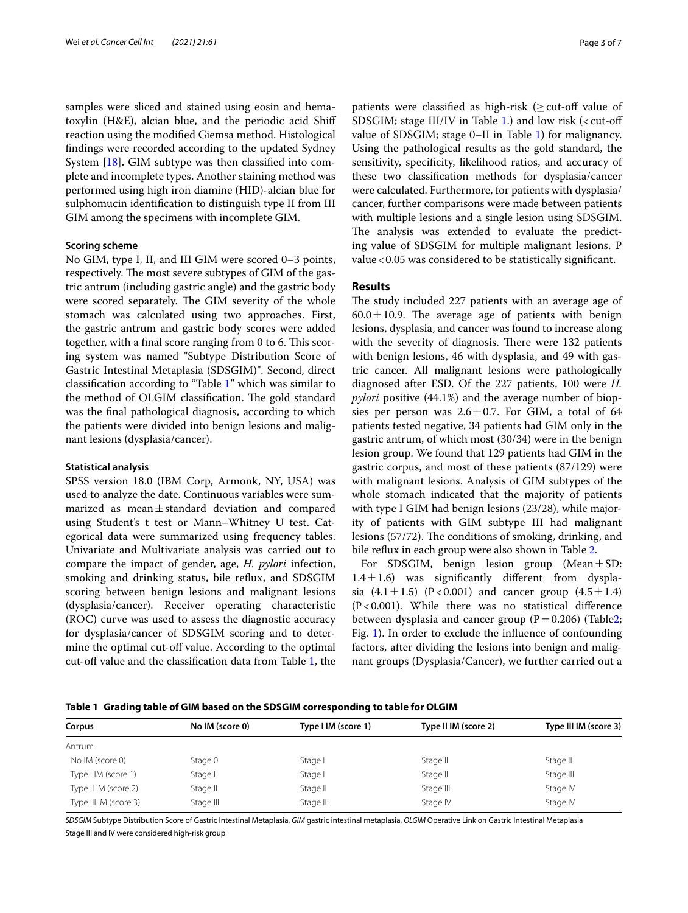samples were sliced and stained using eosin and hematoxylin (H&E), alcian blue, and the periodic acid Shif reaction using the modifed Giemsa method. Histological fndings were recorded according to the updated Sydney System [\[18](#page-6-18)]**.** GIM subtype was then classifed into complete and incomplete types. Another staining method was performed using high iron diamine (HID)-alcian blue for sulphomucin identifcation to distinguish type II from III GIM among the specimens with incomplete GIM.

## **Scoring scheme**

No GIM, type I, II, and III GIM were scored 0–3 points, respectively. The most severe subtypes of GIM of the gastric antrum (including gastric angle) and the gastric body were scored separately. The GIM severity of the whole stomach was calculated using two approaches. First, the gastric antrum and gastric body scores were added together, with a final score ranging from 0 to 6. This scoring system was named "Subtype Distribution Score of Gastric Intestinal Metaplasia (SDSGIM)". Second, direct classifcation according to "Table [1](#page-2-0)" which was similar to the method of OLGIM classification. The gold standard was the fnal pathological diagnosis, according to which the patients were divided into benign lesions and malignant lesions (dysplasia/cancer).

#### **Statistical analysis**

SPSS version 18.0 (IBM Corp, Armonk, NY, USA) was used to analyze the date. Continuous variables were summarized as mean±standard deviation and compared using Student's t test or Mann–Whitney U test. Categorical data were summarized using frequency tables. Univariate and Multivariate analysis was carried out to compare the impact of gender, age, *H. pylori* infection, smoking and drinking status, bile refux, and SDSGIM scoring between benign lesions and malignant lesions (dysplasia/cancer). Receiver operating characteristic (ROC) curve was used to assess the diagnostic accuracy for dysplasia/cancer of SDSGIM scoring and to determine the optimal cut-off value. According to the optimal cut-off value and the classification data from Table [1,](#page-2-0) the patients were classified as high-risk ( $\geq$  cut-off value of SDSGIM; stage III/IV in Table [1.](#page-2-0)) and low risk  $\left($  < cut-off value of SDSGIM; stage 0–II in Table [1](#page-2-0)) for malignancy. Using the pathological results as the gold standard, the sensitivity, specifcity, likelihood ratios, and accuracy of these two classifcation methods for dysplasia/cancer were calculated. Furthermore, for patients with dysplasia/ cancer, further comparisons were made between patients with multiple lesions and a single lesion using SDSGIM. The analysis was extended to evaluate the predicting value of SDSGIM for multiple malignant lesions. P value<0.05 was considered to be statistically signifcant.

## **Results**

The study included 227 patients with an average age of  $60.0 \pm 10.9$ . The average age of patients with benign lesions, dysplasia, and cancer was found to increase along with the severity of diagnosis. There were 132 patients with benign lesions, 46 with dysplasia, and 49 with gastric cancer. All malignant lesions were pathologically diagnosed after ESD. Of the 227 patients, 100 were *H. pylori* positive (44.1%) and the average number of biopsies per person was  $2.6 \pm 0.7$ . For GIM, a total of 64 patients tested negative, 34 patients had GIM only in the gastric antrum, of which most (30/34) were in the benign lesion group. We found that 129 patients had GIM in the gastric corpus, and most of these patients (87/129) were with malignant lesions. Analysis of GIM subtypes of the whole stomach indicated that the majority of patients with type I GIM had benign lesions (23/28), while majority of patients with GIM subtype III had malignant lesions (57/72). The conditions of smoking, drinking, and bile refux in each group were also shown in Table [2](#page-3-0).

For SDSGIM, benign lesion group (Mean $\pm$ SD:  $1.4 \pm 1.6$ ) was significantly different from dysplasia  $(4.1 \pm 1.5)$   $(P < 0.001)$  and cancer group  $(4.5 \pm 1.4)$  $(P<0.001)$ . While there was no statistical difference between dysplasia and cancer group  $(P=0.206)$  (Tabl[e2](#page-3-0); Fig. [1\)](#page-4-0). In order to exclude the infuence of confounding factors, after dividing the lesions into benign and malignant groups (Dysplasia/Cancer), we further carried out a

<span id="page-2-0"></span>**Table 1 Grading table of GIM based on the SDSGIM corresponding to table for OLGIM**

| Corpus                | No IM (score 0) | Type I IM (score 1) | Type II IM (score 2) | Type III IM (score 3) |
|-----------------------|-----------------|---------------------|----------------------|-----------------------|
| Antrum                |                 |                     |                      |                       |
| No IM (score 0)       | Stage 0         | Stage I             | Stage II             | Stage II              |
| Type I IM (score 1)   | Stage I         | Stage I             | Stage II             | Stage III             |
| Type II IM (score 2)  | Stage II        | Stage II            | Stage III            | Stage IV              |
| Type III IM (score 3) | Stage III       | Stage III           | Stage IV             | Stage IV              |

*SDSGIM* Subtype Distribution Score of Gastric Intestinal Metaplasia, *GIM* gastric intestinal metaplasia, *OLGIM* Operative Link on Gastric Intestinal Metaplasia Stage III and IV were considered high-risk group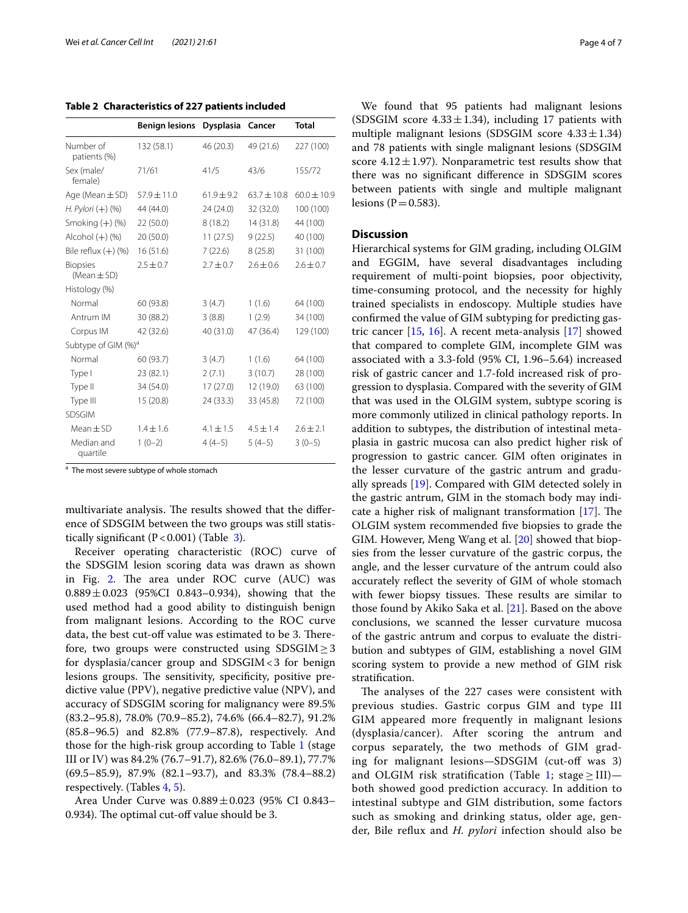<span id="page-3-0"></span>

|                                 | <b>Benign lesions</b> | <b>Dysplasia</b> | Cancer        | <b>Total</b>    |
|---------------------------------|-----------------------|------------------|---------------|-----------------|
| Number of<br>patients (%)       | 132 (58.1)            | 46 (20.3)        | 49 (21.6)     | 227 (100)       |
| Sex (male/<br>female)           | 71/61                 | 41/5             | 43/6          | 155/72          |
| Age (Mean $\pm$ SD)             | $57.9 \pm 11.0$       | $61.9 \pm 9.2$   | $63.7 + 10.8$ | $60.0 \pm 10.9$ |
| $H.$ Pylori $(+)$ (%)           | 44 (44.0)             | 24 (24.0)        | 32 (32.0)     | 100 (100)       |
| Smoking $(+)$ (%)               | 22 (50.0)             | 8(18.2)          | 14 (31.8)     | 44 (100)        |
| Alcohol $(+)$ $(%)$             | 20 (50.0)             | 11(27.5)         | 9(22.5)       | 40 (100)        |
| Bile reflux $(+)$ (%)           | 16(51.6)              | 7(22.6)          | 8(25.8)       | 31 (100)        |
| <b>Biopsies</b><br>(Mean ± SD)  | $2.5 \pm 0.7$         | $2.7 \pm 0.7$    | $2.6 + 0.6$   | $2.6 \pm 0.7$   |
| Histology (%)                   |                       |                  |               |                 |
| Normal                          | 60 (93.8)             | 3(4.7)           | 1(1.6)        | 64 (100)        |
| Antrum IM                       | 30 (88.2)             | 3(8.8)           | 1(2.9)        | 34 (100)        |
| Corpus IM                       | 42 (32.6)             | 40 (31.0)        | 47 (36.4)     | 129 (100)       |
| Subtype of GIM (%) <sup>a</sup> |                       |                  |               |                 |
| Normal                          | 60 (93.7)             | 3(4.7)           | 1(1.6)        | 64 (100)        |
| Type I                          | 23 (82.1)             | 2(7.1)           | 3(10.7)       | 28 (100)        |
| Type II                         | 34 (54.0)             | 17(27.0)         | 12 (19.0)     | 63 (100)        |
| Type III                        | 15 (20.8)             | 24 (33.3)        | 33 (45.8)     | 72 (100)        |
| <b>SDSGIM</b>                   |                       |                  |               |                 |
| $Mean \pm SD$                   | $1.4 \pm 1.6$         | $4.1 \pm 1.5$    | $4.5 \pm 1.4$ | $2.6 \pm 2.1$   |
| Median and<br>quartile          | $1(0-2)$              | $4(4-5)$         | $5(4-5)$      | $3(0-5)$        |

<sup>a</sup> The most severe subtype of whole stomach

multivariate analysis. The results showed that the difference of SDSGIM between the two groups was still statistically significant  $(P<0.001)$  (Table [3](#page-4-1)).

Receiver operating characteristic (ROC) curve of the SDSGIM lesion scoring data was drawn as shown in Fig. [2](#page-5-0). The area under ROC curve  $(AUC)$  was  $0.889 \pm 0.023$  (95%CI 0.843–0.934), showing that the used method had a good ability to distinguish benign from malignant lesions. According to the ROC curve data, the best cut-off value was estimated to be 3. Therefore, two groups were constructed using  $SDSGIM \geq 3$ for dysplasia/cancer group and  $SDSGIM < 3$  for benign lesions groups. The sensitivity, specificity, positive predictive value (PPV), negative predictive value (NPV), and accuracy of SDSGIM scoring for malignancy were 89.5% (83.2–95.8), 78.0% (70.9–85.2), 74.6% (66.4–82.7), 91.2% (85.8–96.5) and 82.8% (77.9–87.8), respectively. And those for the high-risk group according to Table [1](#page-2-0) (stage III or IV) was 84.2% (76.7–91.7), 82.6% (76.0–89.1), 77.7% (69.5–85.9), 87.9% (82.1–93.7), and 83.3% (78.4–88.2) respectively. (Tables [4,](#page-5-1) [5](#page-5-2)).

Area Under Curve was 0.889±0.023 (95% CI 0.843– 0.934). The optimal cut-off value should be 3.

We found that 95 patients had malignant lesions (SDSGIM score  $4.33 \pm 1.34$ ), including 17 patients with multiple malignant lesions (SDSGIM score  $4.33 \pm 1.34$ ) and 78 patients with single malignant lesions (SDSGIM score  $4.12 \pm 1.97$ ). Nonparametric test results show that there was no signifcant diference in SDSGIM scores between patients with single and multiple malignant lesions ( $P = 0.583$ ).

## **Discussion**

Hierarchical systems for GIM grading, including OLGIM and EGGIM, have several disadvantages including requirement of multi-point biopsies, poor objectivity, time-consuming protocol, and the necessity for highly trained specialists in endoscopy. Multiple studies have confrmed the value of GIM subtyping for predicting gastric cancer [[15](#page-6-15), [16\]](#page-6-16). A recent meta-analysis [\[17](#page-6-17)] showed that compared to complete GIM, incomplete GIM was associated with a 3.3-fold (95% CI, 1.96–5.64) increased risk of gastric cancer and 1.7-fold increased risk of progression to dysplasia. Compared with the severity of GIM that was used in the OLGIM system, subtype scoring is more commonly utilized in clinical pathology reports. In addition to subtypes, the distribution of intestinal metaplasia in gastric mucosa can also predict higher risk of progression to gastric cancer. GIM often originates in the lesser curvature of the gastric antrum and gradually spreads [[19](#page-6-19)]. Compared with GIM detected solely in the gastric antrum, GIM in the stomach body may indicate a higher risk of malignant transformation  $[17]$  $[17]$  $[17]$ . The OLGIM system recommended fve biopsies to grade the GIM. However, Meng Wang et al. [[20](#page-6-20)] showed that biopsies from the lesser curvature of the gastric corpus, the angle, and the lesser curvature of the antrum could also accurately refect the severity of GIM of whole stomach with fewer biopsy tissues. These results are similar to those found by Akiko Saka et al. [[21](#page-6-21)]. Based on the above conclusions, we scanned the lesser curvature mucosa of the gastric antrum and corpus to evaluate the distribution and subtypes of GIM, establishing a novel GIM scoring system to provide a new method of GIM risk stratifcation.

The analyses of the 227 cases were consistent with previous studies. Gastric corpus GIM and type III GIM appeared more frequently in malignant lesions (dysplasia/cancer). After scoring the antrum and corpus separately, the two methods of GIM grading for malignant lesions—SDSGIM (cut-of was 3) and OLGIM risk stratification (Table [1](#page-2-0); stage  $\geq$  III)both showed good prediction accuracy. In addition to intestinal subtype and GIM distribution, some factors such as smoking and drinking status, older age, gender, Bile refux and *H. pylori* infection should also be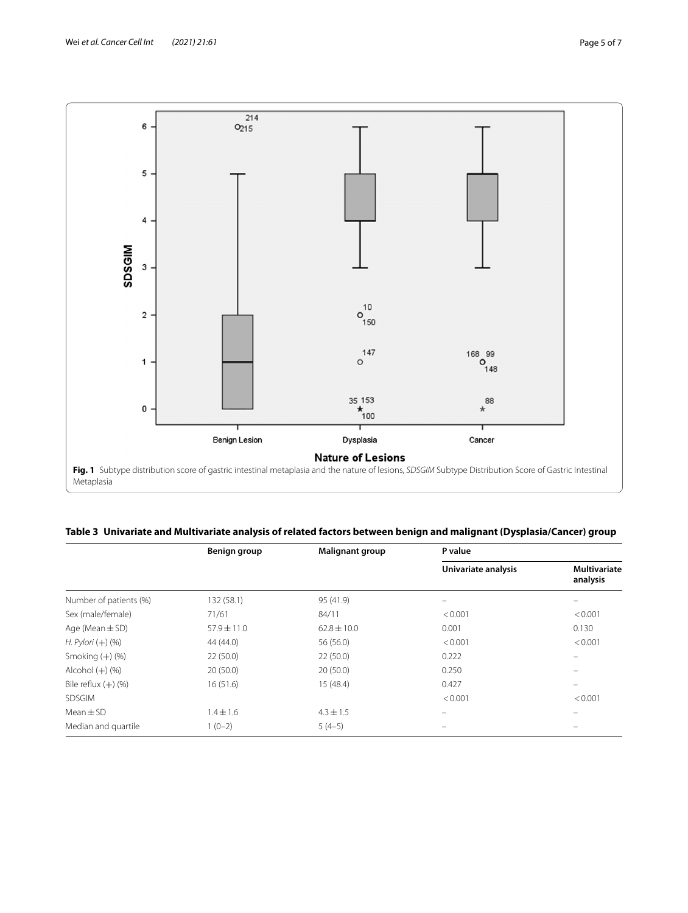

<span id="page-4-1"></span><span id="page-4-0"></span>

|  | Table 3 Univariate and Multivariate analysis of related factors between benign and malignant (Dysplasia/Cancer) group |  |  |  |
|--|-----------------------------------------------------------------------------------------------------------------------|--|--|--|
|--|-----------------------------------------------------------------------------------------------------------------------|--|--|--|

|                        | Benign group    | Malignant group | P value             |                                 |  |
|------------------------|-----------------|-----------------|---------------------|---------------------------------|--|
|                        |                 |                 | Univariate analysis | <b>Multivariate</b><br>analysis |  |
| Number of patients (%) | 132 (58.1)      | 95 (41.9)       |                     |                                 |  |
| Sex (male/female)      | 71/61           | 84/11           | < 0.001             | < 0.001                         |  |
| Age (Mean $\pm$ SD)    | $57.9 \pm 11.0$ | $62.8 \pm 10.0$ | 0.001               | 0.130                           |  |
| $H.$ Pylori $(+)$ (%)  | 44 (44.0)       | 56 (56.0)       | < 0.001             | < 0.001                         |  |
| Smoking $(+)$ (%)      | 22(50.0)        | 22(50.0)        | 0.222               | $\equiv$                        |  |
| Alcohol $(+)$ $(\%)$   | 20(50.0)        | 20(50.0)        | 0.250               | $\overline{\phantom{0}}$        |  |
| Bile reflux $(+)$ (%)  | 16(51.6)        | 15 (48.4)       | 0.427               | $\overline{\phantom{0}}$        |  |
| <b>SDSGIM</b>          |                 |                 | < 0.001             | < 0.001                         |  |
| $Mean \pm SD$          | $1.4 \pm 1.6$   | $4.3 \pm 1.5$   |                     | $\overline{\phantom{0}}$        |  |
| Median and quartile    | $1(0-2)$        | $5(4-5)$        |                     |                                 |  |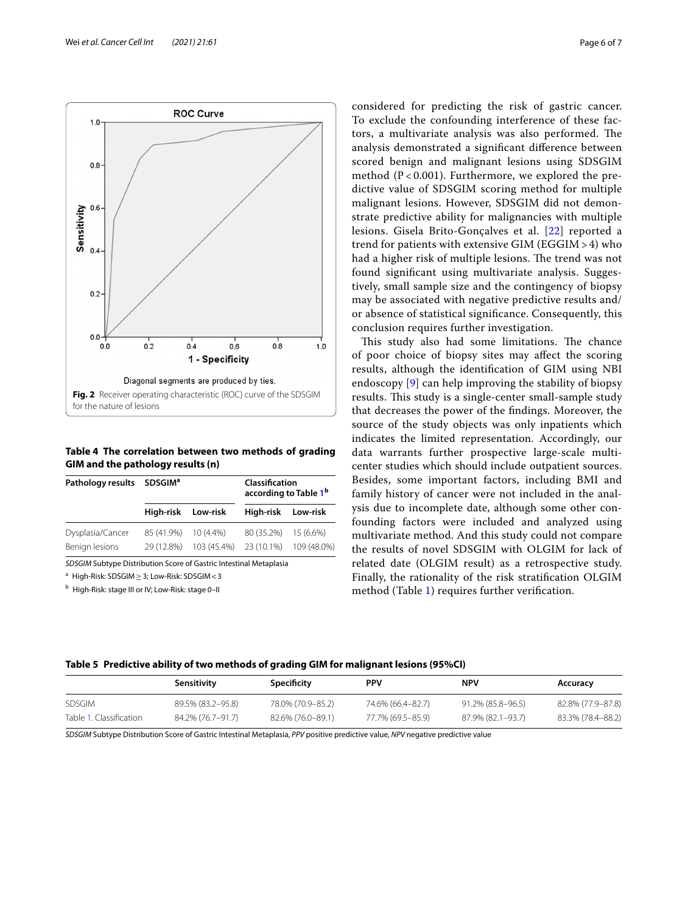

<span id="page-5-1"></span><span id="page-5-0"></span>**Table 4 The correlation between two methods of grading GIM and the pathology results (n)**

| Pathology results SDSGIM <sup>a</sup>                              |                    |             | Classification<br>according to Table 1 <sup>b</sup> |             |
|--------------------------------------------------------------------|--------------------|-------------|-----------------------------------------------------|-------------|
|                                                                    | High-risk Low-risk |             | High-risk Low-risk                                  |             |
| Dysplasia/Cancer                                                   | 85 (41.9%)         | $10(4.4\%)$ | 80 (35.2%)                                          | 15 (6.6%)   |
| Benign lesions                                                     | 29 (12.8%)         | 103 (45.4%) | 23 (10.1%)                                          | 109 (48.0%) |
| SDSGIM Subtype Distribution Score of Gastric Intestinal Metaplasia |                    |             |                                                     |             |

<sup>a</sup> High-Risk: SDSGIM≥3; Low-Risk: SDSGIM<3

<sup>b</sup> High-Risk: stage III or IV; Low-Risk: stage 0–II

considered for predicting the risk of gastric cancer. To exclude the confounding interference of these factors, a multivariate analysis was also performed. The analysis demonstrated a signifcant diference between scored benign and malignant lesions using SDSGIM method  $(P < 0.001)$ . Furthermore, we explored the predictive value of SDSGIM scoring method for multiple malignant lesions. However, SDSGIM did not demonstrate predictive ability for malignancies with multiple lesions. Gisela Brito-Gonçalves et al. [[22\]](#page-6-22) reported a trend for patients with extensive GIM (EGGIM> 4) who had a higher risk of multiple lesions. The trend was not found signifcant using multivariate analysis. Suggestively, small sample size and the contingency of biopsy may be associated with negative predictive results and/ or absence of statistical signifcance. Consequently, this conclusion requires further investigation.

This study also had some limitations. The chance of poor choice of biopsy sites may afect the scoring results, although the identifcation of GIM using NBI endoscopy [[9\]](#page-6-9) can help improving the stability of biopsy results. This study is a single-center small-sample study that decreases the power of the fndings. Moreover, the source of the study objects was only inpatients which indicates the limited representation. Accordingly, our data warrants further prospective large-scale multicenter studies which should include outpatient sources. Besides, some important factors, including BMI and family history of cancer were not included in the analysis due to incomplete date, although some other confounding factors were included and analyzed using multivariate method. And this study could not compare the results of novel SDSGIM with OLGIM for lack of related date (OLGIM result) as a retrospective study. Finally, the rationality of the risk stratifcation OLGIM method (Table [1](#page-2-0)) requires further verifcation.

<span id="page-5-2"></span>

| Table 5 Predictive ability of two methods of grading GIM for malignant lesions (95%CI) |  |
|----------------------------------------------------------------------------------------|--|
|----------------------------------------------------------------------------------------|--|

|                         | Sensitivity       | Specificity       | PPV               | <b>NPV</b>        | Accuracy          |
|-------------------------|-------------------|-------------------|-------------------|-------------------|-------------------|
| <b>SDSGIM</b>           | 89.5% (83.2–95.8) | 78.0% (70.9–85.2) | 74.6% (66.4–82.7) | 91.2% (85.8–96.5) | 82.8% (77.9–87.8) |
| Table 1. Classification | 84.2% (76.7–91.7) | 82.6% (76.0–89.1) | 77.7% (69.5–85.9) | 87.9% (82.1–93.7) | 83.3% (78.4-88.2) |

*SDSGIM* Subtype Distribution Score of Gastric Intestinal Metaplasia, *PPV* positive predictive value, *NPV* negative predictive value